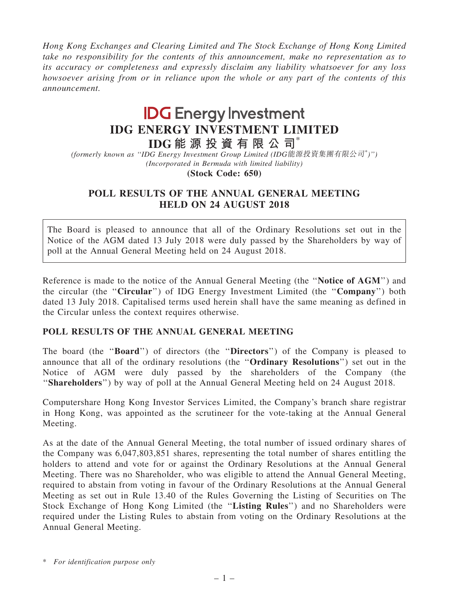Hong Kong Exchanges and Clearing Limited and The Stock Exchange of Hong Kong Limited take no responsibility for the contents of this announcement, make no representation as to its accuracy or completeness and expressly disclaim any liability whatsoever for any loss howsoever arising from or in reliance upon the whole or any part of the contents of this announcement.

## **IDG** Energy Investment IDG ENERGY INVESTMENT LIMITED

IDG 能 源 投 資 有 限 公 司\*

(formerly known as ''IDG Energy Investment Group Limited (IDG能源投資集團有限公司\* )'') (Incorporated in Bermuda with limited liability)

(Stock Code: 650)

## POLL RESULTS OF THE ANNUAL GENERAL MEETING HELD ON 24 AUGUST 2018

The Board is pleased to announce that all of the Ordinary Resolutions set out in the Notice of the AGM dated 13 July 2018 were duly passed by the Shareholders by way of poll at the Annual General Meeting held on 24 August 2018.

Reference is made to the notice of the Annual General Meeting (the "Notice of AGM") and the circular (the "Circular") of IDG Energy Investment Limited (the "Company") both dated 13 July 2018. Capitalised terms used herein shall have the same meaning as defined in the Circular unless the context requires otherwise.

## POLL RESULTS OF THE ANNUAL GENERAL MEETING

The board (the ''Board'') of directors (the ''Directors'') of the Company is pleased to announce that all of the ordinary resolutions (the ''Ordinary Resolutions'') set out in the Notice of AGM were duly passed by the shareholders of the Company (the ''Shareholders'') by way of poll at the Annual General Meeting held on 24 August 2018.

Computershare Hong Kong Investor Services Limited, the Company's branch share registrar in Hong Kong, was appointed as the scrutineer for the vote-taking at the Annual General Meeting.

As at the date of the Annual General Meeting, the total number of issued ordinary shares of the Company was 6,047,803,851 shares, representing the total number of shares entitling the holders to attend and vote for or against the Ordinary Resolutions at the Annual General Meeting. There was no Shareholder, who was eligible to attend the Annual General Meeting, required to abstain from voting in favour of the Ordinary Resolutions at the Annual General Meeting as set out in Rule 13.40 of the Rules Governing the Listing of Securities on The Stock Exchange of Hong Kong Limited (the ''Listing Rules'') and no Shareholders were required under the Listing Rules to abstain from voting on the Ordinary Resolutions at the Annual General Meeting.

<sup>\*</sup> For identification purpose only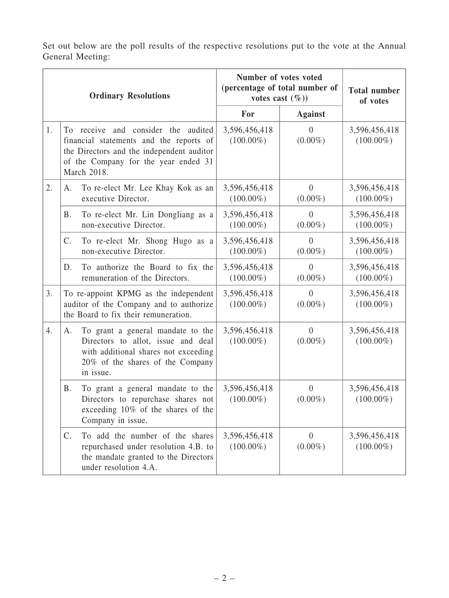Set out below are the poll results of the respective resolutions put to the vote at the Annual General Meeting:

| <b>Ordinary Resolutions</b> |                                                                                                                          |                                                                                                                                                                                    | Number of votes voted<br>(percentage of total number of<br>votes cast $(\%)$ |                                | <b>Total number</b><br>of votes |
|-----------------------------|--------------------------------------------------------------------------------------------------------------------------|------------------------------------------------------------------------------------------------------------------------------------------------------------------------------------|------------------------------------------------------------------------------|--------------------------------|---------------------------------|
|                             |                                                                                                                          | For                                                                                                                                                                                | <b>Against</b>                                                               |                                |                                 |
| 1.                          |                                                                                                                          | To receive and consider the audited<br>financial statements and the reports of<br>the Directors and the independent auditor<br>of the Company for the year ended 31<br>March 2018. | 3,596,456,418<br>$(100.00\%)$                                                | $\overline{0}$<br>$(0.00\%)$   | 3,596,456,418<br>$(100.00\%)$   |
| 2.                          | A.                                                                                                                       | To re-elect Mr. Lee Khay Kok as an<br>executive Director.                                                                                                                          | 3,596,456,418<br>$(100.00\%)$                                                | $\overline{0}$<br>$(0.00\%)$   | 3,596,456,418<br>$(100.00\%)$   |
|                             | Β.                                                                                                                       | To re-elect Mr. Lin Dongliang as a<br>non-executive Director.                                                                                                                      | 3,596,456,418<br>$(100.00\%)$                                                | $\theta$<br>$(0.00\%)$         | 3,596,456,418<br>$(100.00\%)$   |
|                             | C.                                                                                                                       | To re-elect Mr. Shong Hugo as a<br>non-executive Director.                                                                                                                         | 3,596,456,418<br>$(100.00\%)$                                                | $\overline{0}$<br>$(0.00\%)$   | 3,596,456,418<br>$(100.00\%)$   |
|                             | D.                                                                                                                       | To authorize the Board to fix the<br>remuneration of the Directors.                                                                                                                | 3,596,456,418<br>$(100.00\%)$                                                | $\overline{0}$<br>$(0.00\%)$   | 3,596,456,418<br>$(100.00\%)$   |
| 3.                          | To re-appoint KPMG as the independent<br>auditor of the Company and to authorize<br>the Board to fix their remuneration. |                                                                                                                                                                                    | 3,596,456,418<br>$(100.00\%)$                                                | $\overline{0}$<br>$(0.00\%)$   | 3,596,456,418<br>$(100.00\%)$   |
| $\overline{4}$ .            | A.                                                                                                                       | To grant a general mandate to the<br>Directors to allot, issue and deal<br>with additional shares not exceeding<br>20% of the shares of the Company<br>in issue.                   | 3,596,456,418<br>$(100.00\%)$                                                | $\overline{0}$<br>$(0.00\%)$   | 3,596,456,418<br>$(100.00\%)$   |
|                             | <b>B.</b>                                                                                                                | To grant a general mandate to the<br>Directors to repurchase shares not<br>exceeding 10% of the shares of the<br>Company in issue.                                                 | 3,596,456,418<br>$(100.00\%)$                                                | $\overline{0}$<br>$(0.00\%)$   | 3,596,456,418<br>$(100.00\%)$   |
|                             | $\mathcal{C}$ .                                                                                                          | To add the number of the shares<br>repurchased under resolution 4.B. to<br>the mandate granted to the Directors<br>under resolution 4.A.                                           | 3,596,456,418<br>$(100.00\%)$                                                | $\boldsymbol{0}$<br>$(0.00\%)$ | 3,596,456,418<br>$(100.00\%)$   |